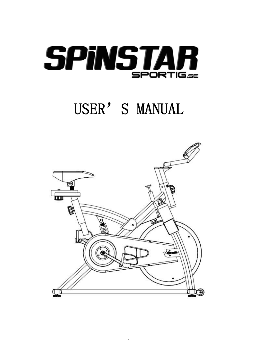

# USER'S MANUAL

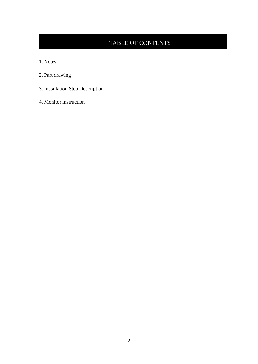### TABLE OF CONTENTS

- 1. Notes
- 2. Part drawing
- 3. Installation Step Description
- 4. Monitor instruction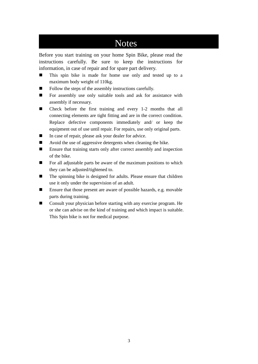### Notes

Before you start training on your home Spin Bike, please read the instructions carefully. Be sure to keep the instructions for information, in case of repair and for spare part delivery.

- This spin bike is made for home use only and tested up to a maximum body weight of 110kg.
- Follow the steps of the assembly instructions carefully.
- For assembly use only suitable tools and ask for assistance with assembly if necessary.
- Check before the first training and every 1-2 months that all connecting elements are tight fitting and are in the correct condition. Replace defective components immediately and/ or keep the equipment out of use until repair. For repairs, use only original parts.
- In case of repair, please ask your dealer for advice.
- Avoid the use of aggressive detergents when cleaning the bike.
- Ensure that training starts only after correct assembly and inspection of the bike.
- ◼ For all adjustable parts be aware of the maximum positions to which they can be adjusted/tightened to.
- The spinning bike is designed for adults. Please ensure that children use it only under the supervision of an adult.
- Ensure that those present are aware of possible hazards, e.g. movable parts during training.
- Consult your physician before starting with any exercise program. He or she can advise on the kind of training and which impact is suitable. This Spin bike is not for medical purpose.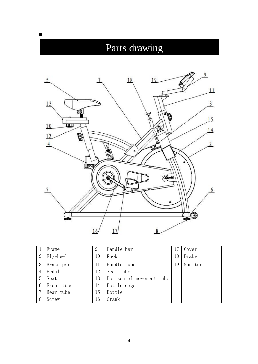## Parts drawing

◼



|                | Frame      | 9  | Handle bar               | 17 | Cover   |
|----------------|------------|----|--------------------------|----|---------|
| $\overline{2}$ | Flywheel   | 10 | Knob                     | 18 | Brake   |
| 3              | Brake part | 11 | Handle tube              | 19 | Monitor |
| $\overline{4}$ | Pedal      | 12 | Seat tube                |    |         |
| 5              | Seat       | 13 | Horizontal movement tube |    |         |
| 6              | Front tube | 14 | Bottle cage              |    |         |
| 7              | Rear tube  | 15 | Bottle                   |    |         |
| 8              | Screw      | 16 | Crank                    |    |         |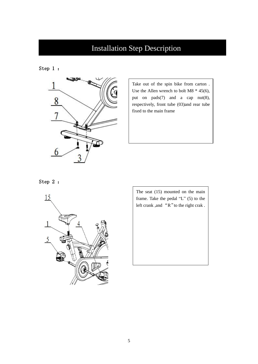## Installation Step Description

Step 1 :



Take out of the spin bike from carton . Use the Allen wrench to bolt M8 \* 45(6), put on pads(7) and a cap nut(8), respectively, front tube (03)and rear tube fixed to the main frame

Step 2 :



The seat (15) mounted on the main frame. Take the pedal "L" (5) to the left crank ,and "R"to the right crak .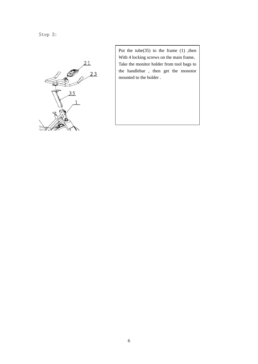Step 3:



Put the tube(35) to the frame (1) ,then With 4 locking screws on the main frame, Take the monitor holder from tool bags to the handlebar , then get the monotor mounted to the holder .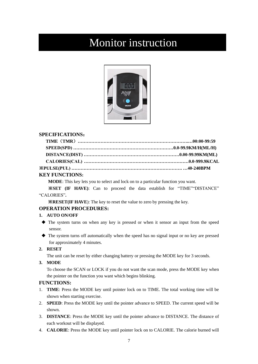## Monitor instruction



#### **SPECIFICATIONS**:

#### **KEY FUNCTIONS:**

**MODE**: This key lets you to select and lock on to a particular function you want.

※**SET (IF HAVE)**: Can to proceed the data establish for "TIME""DISTANCE" "CALORIES"**.**

※**RESET(IF HAVE**): The key to reset the value to zero by pressing the key.

#### **OPERATION PROCEDURES:**

#### **1. AUTO ON/OFF**

- ◆ The system turns on when any key is pressed or when it sensor an input from the speed sensor.
- ◆ The system turns off automatically when the speed has no signal input or no key are pressed for approximately 4 minutes.

#### **2. RESET**

The unit can be reset by either changing battery or pressing the MODE key for 3 seconds.

**3. MODE**

To choose the SCAN or LOCK if you do not want the scan mode, press the MODE key when the pointer on the function you want which begins blinking.

#### **FUNCTIONS:**

- 1. **TIME**: Press the MODE key until pointer lock on to TIME. The total working time will be shown when starting exercise.
- 2. **SPEED**: Press the MODE key until the pointer advance to SPEED. The current speed will be shown.
- 3. **DISTANCE**: Press the MODE key until the pointer advance to DISTANCE. The distance of each workout will be displayed.
- 4. **CALORIE**: Press the MODE key until pointer lock on to CALORIE. The calorie burned will